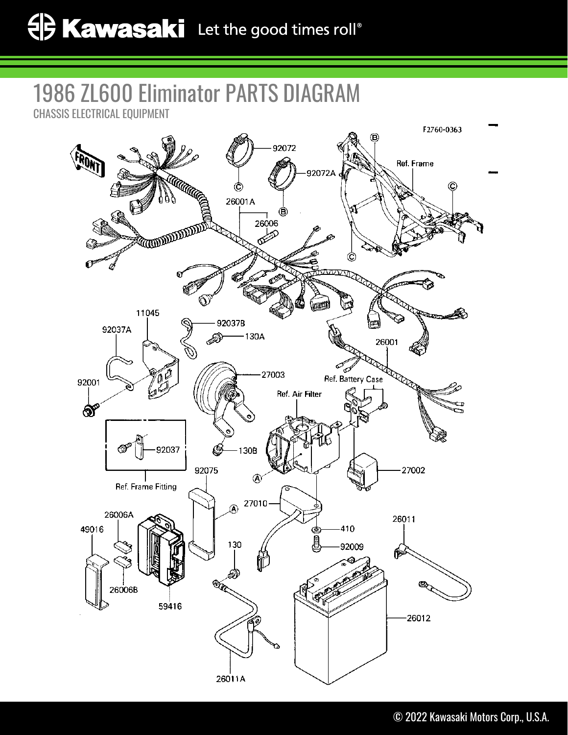## 1986 ZL600 Eliminator PARTS DIAGRAM CHASSIS ELECTRICAL EQUIPMENT